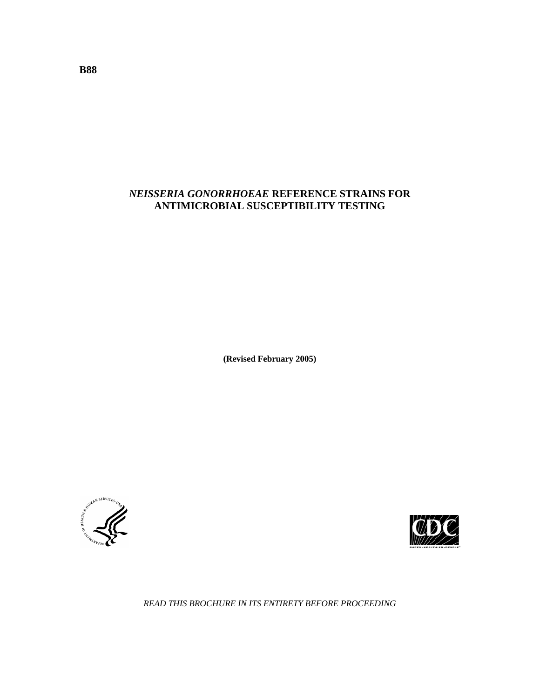# *NEISSERIA GONORRHOEAE* **REFERENCE STRAINS FOR ANTIMICROBIAL SUSCEPTIBILITY TESTING**

**(Revised February 2005)**





*READ THIS BROCHURE IN ITS ENTIRETY BEFORE PROCEEDING*

**B88**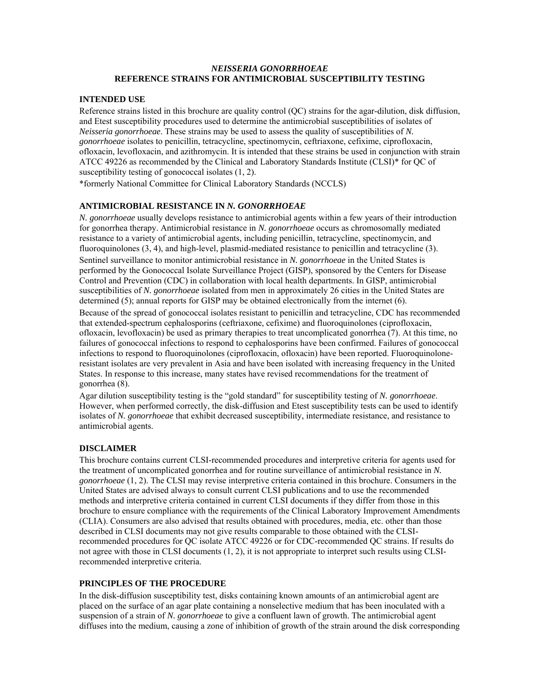### *NEISSERIA GONORRHOEAE*  **REFERENCE STRAINS FOR ANTIMICROBIAL SUSCEPTIBILITY TESTING**

### **INTENDED USE**

Reference strains listed in this brochure are quality control (QC) strains for the agar-dilution, disk diffusion, and Etest susceptibility procedures used to determine the antimicrobial susceptibilities of isolates of *Neisseria gonorrhoeae*. These strains may be used to assess the quality of susceptibilities of *N. gonorrhoeae* isolates to penicillin, tetracycline, spectinomycin, ceftriaxone, cefixime, ciprofloxacin, ofloxacin, levofloxacin, and azithromycin. It is intended that these strains be used in conjunction with strain ATCC 49226 as recommended by the Clinical and Laboratory Standards Institute (CLSI)\* for QC of susceptibility testing of gonococcal isolates (1, 2).

\*formerly National Committee for Clinical Laboratory Standards (NCCLS)

### **ANTIMICROBIAL RESISTANCE IN** *N. GONORRHOEAE*

*N. gonorrhoeae* usually develops resistance to antimicrobial agents within a few years of their introduction for gonorrhea therapy. Antimicrobial resistance in *N. gonorrhoeae* occurs as chromosomally mediated resistance to a variety of antimicrobial agents, including penicillin, tetracycline, spectinomycin, and fluoroquinolones (3, 4), and high-level, plasmid-mediated resistance to penicillin and tetracycline (3). Sentinel surveillance to monitor antimicrobial resistance in *N. gonorrhoeae* in the United States is performed by the Gonococcal Isolate Surveillance Project (GISP), sponsored by the Centers for Disease Control and Prevention (CDC) in collaboration with local health departments. In GISP, antimicrobial susceptibilities of *N. gonorrhoeae* isolated from men in approximately 26 cities in the United States are determined (5); annual reports for GISP may be obtained electronically from the internet (6).

Because of the spread of gonococcal isolates resistant to penicillin and tetracycline, CDC has recommended that extended-spectrum cephalosporins (ceftriaxone, cefixime) and fluoroquinolones (ciprofloxacin, ofloxacin, levofloxacin) be used as primary therapies to treat uncomplicated gonorrhea (7). At this time, no failures of gonococcal infections to respond to cephalosporins have been confirmed. Failures of gonococcal infections to respond to fluoroquinolones (ciprofloxacin, ofloxacin) have been reported. Fluoroquinoloneresistant isolates are very prevalent in Asia and have been isolated with increasing frequency in the United States. In response to this increase, many states have revised recommendations for the treatment of gonorrhea (8).

Agar dilution susceptibility testing is the "gold standard" for susceptibility testing of *N. gonorrhoeae*. However, when performed correctly, the disk-diffusion and Etest susceptibility tests can be used to identify isolates of *N. gonorrhoeae* that exhibit decreased susceptibility, intermediate resistance, and resistance to antimicrobial agents.

#### **DISCLAIMER**

This brochure contains current CLSI-recommended procedures and interpretive criteria for agents used for the treatment of uncomplicated gonorrhea and for routine surveillance of antimicrobial resistance in *N. gonorrhoeae* (1, 2). The CLSI may revise interpretive criteria contained in this brochure. Consumers in the United States are advised always to consult current CLSI publications and to use the recommended methods and interpretive criteria contained in current CLSI documents if they differ from those in this brochure to ensure compliance with the requirements of the Clinical Laboratory Improvement Amendments (CLIA). Consumers are also advised that results obtained with procedures, media, etc. other than those described in CLSI documents may not give results comparable to those obtained with the CLSIrecommended procedures for QC isolate ATCC 49226 or for CDC-recommended QC strains. If results do not agree with those in CLSI documents (1, 2), it is not appropriate to interpret such results using CLSIrecommended interpretive criteria.

### **PRINCIPLES OF THE PROCEDURE**

In the disk-diffusion susceptibility test, disks containing known amounts of an antimicrobial agent are placed on the surface of an agar plate containing a nonselective medium that has been inoculated with a suspension of a strain of *N. gonorrhoeae* to give a confluent lawn of growth. The antimicrobial agent diffuses into the medium, causing a zone of inhibition of growth of the strain around the disk corresponding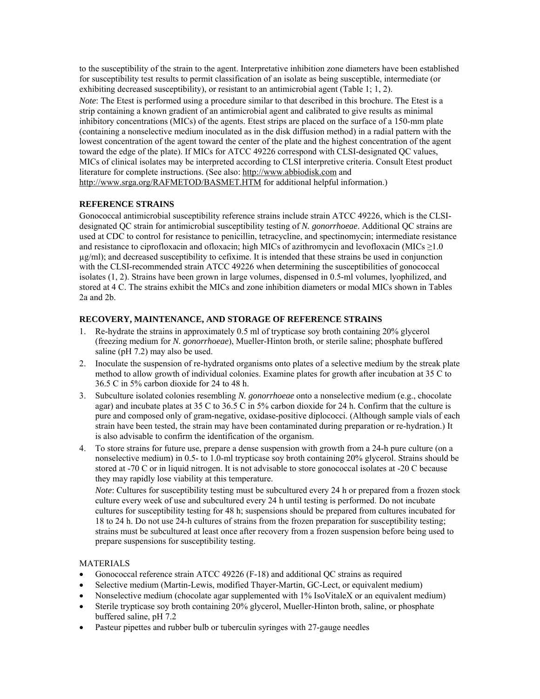to the susceptibility of the strain to the agent. Interpretative inhibition zone diameters have been established for susceptibility test results to permit classification of an isolate as being susceptible, intermediate (or exhibiting decreased susceptibility), or resistant to an antimicrobial agent (Table 1; 1, 2).

*Note*: The Etest is performed using a procedure similar to that described in this brochure. The Etest is a strip containing a known gradient of an antimicrobial agent and calibrated to give results as minimal inhibitory concentrations (MICs) of the agents. Etest strips are placed on the surface of a 150-mm plate (containing a nonselective medium inoculated as in the disk diffusion method) in a radial pattern with the lowest concentration of the agent toward the center of the plate and the highest concentration of the agent toward the edge of the plate). If MICs for ATCC 49226 correspond with CLSI-designated QC values, MICs of clinical isolates may be interpreted according to CLSI interpretive criteria. Consult Etest product literature for complete instructions. (See also: [http://www.abbiodisk.com](http://www.abbiodisk.com/) and <http://www.srga.org/RAFMETOD/BASMET.HTM> for additional helpful information.)

# **REFERENCE STRAINS**

Gonococcal antimicrobial susceptibility reference strains include strain ATCC 49226, which is the CLSIdesignated QC strain for antimicrobial susceptibility testing of *N. gonorrhoeae*. Additional QC strains are used at CDC to control for resistance to penicillin, tetracycline, and spectinomycin; intermediate resistance and resistance to ciprofloxacin and ofloxacin; high MICs of azithromycin and levofloxacin (MICs  $\geq$ 1.0  $\mu$ g/ml); and decreased susceptibility to cefixime. It is intended that these strains be used in conjunction with the CLSI-recommended strain ATCC 49226 when determining the susceptibilities of gonococcal isolates (1, 2). Strains have been grown in large volumes, dispensed in 0.5-ml volumes, lyophilized, and stored at 4 C. The strains exhibit the MICs and zone inhibition diameters or modal MICs shown in Tables 2a and 2b.

## **RECOVERY, MAINTENANCE, AND STORAGE OF REFERENCE STRAINS**

- 1. Re-hydrate the strains in approximately 0.5 ml of trypticase soy broth containing 20% glycerol (freezing medium for *N. gonorrhoeae*), Mueller-Hinton broth, or sterile saline; phosphate buffered saline (pH 7.2) may also be used.
- 2. Inoculate the suspension of re-hydrated organisms onto plates of a selective medium by the streak plate method to allow growth of individual colonies. Examine plates for growth after incubation at 35 C to 36.5 C in 5% carbon dioxide for 24 to 48 h.
- 3. Subculture isolated colonies resembling *N. gonorrhoeae* onto a nonselective medium (e.g., chocolate agar) and incubate plates at 35 C to 36.5 C in 5% carbon dioxide for 24 h. Confirm that the culture is pure and composed only of gram-negative, oxidase-positive diplococci. (Although sample vials of each strain have been tested, the strain may have been contaminated during preparation or re-hydration.) It is also advisable to confirm the identification of the organism.
- 4. To store strains for future use, prepare a dense suspension with growth from a 24-h pure culture (on a nonselective medium) in 0.5- to 1.0-ml trypticase soy broth containing 20% glycerol. Strains should be stored at -70 C or in liquid nitrogen. It is not advisable to store gonococcal isolates at -20 C because they may rapidly lose viability at this temperature.

*Note*: Cultures for susceptibility testing must be subcultured every 24 h or prepared from a frozen stock culture every week of use and subcultured every 24 h until testing is performed. Do not incubate cultures for susceptibility testing for 48 h; suspensions should be prepared from cultures incubated for 18 to 24 h. Do not use 24-h cultures of strains from the frozen preparation for susceptibility testing; strains must be subcultured at least once after recovery from a frozen suspension before being used to prepare suspensions for susceptibility testing.

## MATERIALS

- Gonococcal reference strain ATCC 49226 (F-18) and additional QC strains as required
- Selective medium (Martin-Lewis, modified Thayer-Martin, GC-Lect, or equivalent medium)
- Nonselective medium (chocolate agar supplemented with 1% IsoVitaleX or an equivalent medium)
- Sterile trypticase soy broth containing 20% glycerol, Mueller-Hinton broth, saline, or phosphate buffered saline, pH 7.2
- Pasteur pipettes and rubber bulb or tuberculin syringes with 27-gauge needles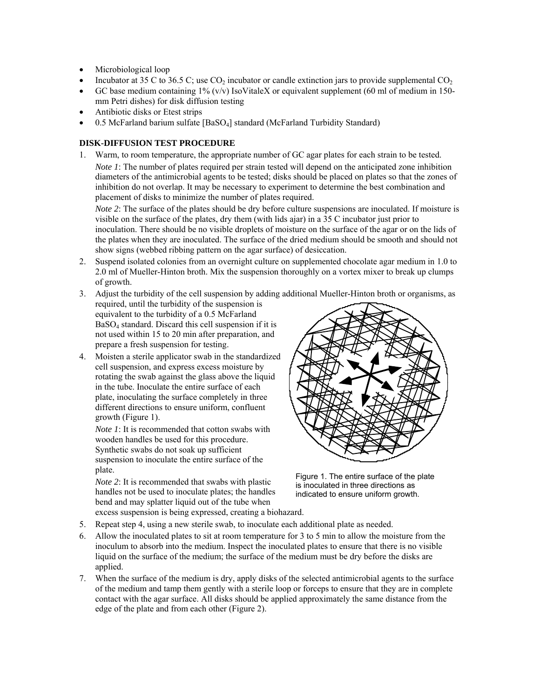- Microbiological loop
- Incubator at 35 C to 36.5 C; use  $CO<sub>2</sub>$  incubator or candle extinction jars to provide supplemental  $CO<sub>2</sub>$
- GC base medium containing  $1\%$  (v/v) IsoVitaleX or equivalent supplement (60 ml of medium in 150mm Petri dishes) for disk diffusion testing
- Antibiotic disks or Etest strips
- 0.5 McFarland barium sulfate [BaSO4] standard (McFarland Turbidity Standard)

### **DISK-DIFFUSION TEST PROCEDURE**

1. Warm, to room temperature, the appropriate number of GC agar plates for each strain to be tested. *Note 1*: The number of plates required per strain tested will depend on the anticipated zone inhibition diameters of the antimicrobial agents to be tested; disks should be placed on plates so that the zones of inhibition do not overlap. It may be necessary to experiment to determine the best combination and placement of disks to minimize the number of plates required.

*Note 2*: The surface of the plates should be dry before culture suspensions are inoculated. If moisture is visible on the surface of the plates, dry them (with lids ajar) in a 35 C incubator just prior to inoculation. There should be no visible droplets of moisture on the surface of the agar or on the lids of the plates when they are inoculated. The surface of the dried medium should be smooth and should not show signs (webbed ribbing pattern on the agar surface) of desiccation.

2. Suspend isolated colonies from an overnight culture on supplemented chocolate agar medium in 1.0 to 2.0 ml of Mueller-Hinton broth. Mix the suspension thoroughly on a vortex mixer to break up clumps of growth.

### 3. Adjust the turbidity of the cell suspension by adding additional Mueller-Hinton broth or organisms, as

- required, until the turbidity of the suspension is equivalent to the turbidity of a 0.5 McFarland BaSO4 standard. Discard this cell suspension if it is not used within 15 to 20 min after preparation, and prepare a fresh suspension for testing.
- 4. Moisten a sterile applicator swab in the standardized cell suspension, and express excess moisture by rotating the swab against the glass above the liquid in the tube. Inoculate the entire surface of each plate, inoculating the surface completely in three different directions to ensure uniform, confluent growth (Figure 1).

*Note 1*: It is recommended that cotton swabs with wooden handles be used for this procedure. Synthetic swabs do not soak up sufficient suspension to inoculate the entire surface of the plate.

*Note 2*: It is recommended that swabs with plastic handles not be used to inoculate plates; the handles bend and may splatter liquid out of the tube when



Figure 1. The entire surface of the plate is inoculated in three directions as indicated to ensure uniform growth.

excess suspension is being expressed, creating a biohazard.

- 5. Repeat step 4, using a new sterile swab, to inoculate each additional plate as needed.
- 6. Allow the inoculated plates to sit at room temperature for 3 to 5 min to allow the moisture from the inoculum to absorb into the medium. Inspect the inoculated plates to ensure that there is no visible liquid on the surface of the medium; the surface of the medium must be dry before the disks are applied.
- 7. When the surface of the medium is dry, apply disks of the selected antimicrobial agents to the surface of the medium and tamp them gently with a sterile loop or forceps to ensure that they are in complete contact with the agar surface. All disks should be applied approximately the same distance from the edge of the plate and from each other (Figure 2).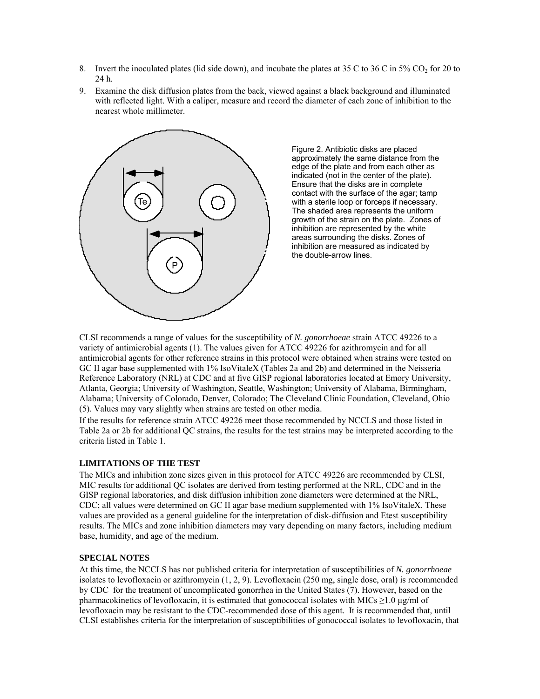- 8. Invert the inoculated plates (lid side down), and incubate the plates at 35 C to 36 C in 5% CO<sub>2</sub> for 20 to 24 h.
- 9. Examine the disk diffusion plates from the back, viewed against a black background and illuminated with reflected light. With a caliper, measure and record the diameter of each zone of inhibition to the nearest whole millimeter.



Figure 2. Antibiotic disks are placed approximately the same distance from the edge of the plate and from each other as indicated (not in the center of the plate). Ensure that the disks are in complete contact with the surface of the agar; tamp with a sterile loop or forceps if necessary. The shaded area represents the uniform growth of the strain on the plate. Zones of inhibition are represented by the white areas surrounding the disks. Zones of inhibition are measured as indicated by the double-arrow lines.

LSI recommends a range of values for the susceptibility of *N. gonorrhoeae* strain ATCC 49226 to a C antimicrobial agents for other reference strains in this protocol were obtained when strains were tested on variety of antimicrobial agents (1). The values given for ATCC 49226 for azithromycin and for all GC II agar base supplemented with 1% IsoVitaleX (Tables 2a and 2b) and determined in the Neisseria Reference Laboratory (NRL) at CDC and at five GISP regional laboratories located at Emory University, Atlanta, Georgia; University of Washington, Seattle, Washington; University of Alabama, Birmingham, Alabama; University of Colorado, Denver, Colorado; The Cleveland Clinic Foundation, Cleveland, Ohio (5). Values may vary slightly when strains are tested on other media.

If the results for reference strain ATCC 49226 meet those recommended by NCCLS and those listed in Table 2a or 2b for additional QC strains, the results for the test strains may be interpreted according to the criteria listed in Table 1.

### **IMITATIONS OF THE TEST L**

The MICs and inhibition zone sizes given in this protocol for ATCC 49226 are recommended by CLSI, MIC results for additional QC isolates are derived from testing performed at the NRL, CDC and in the GISP regional laboratories, and disk diffusion inhibition zone diameters were determined at the NRL, CDC; all values were determined on GC II agar base medium supplemented with 1% IsoVitaleX. These values are provided as a general guideline for the interpretation of disk-diffusion and Etest susceptibility results. The MICs and zone inhibition diameters may vary depending on many factors, including medium base, humidity, and age of the medium.

### **PECIAL NOTES S**

At this time, the NCCLS has not published criteria for interpretation of susceptibilities of *N. gonorrhoeae* t CLSI establishes criteria for the interpretation of susceptibilities of gonococcal isolates to levofloxacin, thaisolates to levofloxacin or azithromycin (1, 2, 9). Levofloxacin (250 mg, single dose, oral) is recommended by CDC for the treatment of uncomplicated gonorrhea in the United States (7). However, based on the pharmacokinetics of levofloxacin, it is estimated that gonococcal isolates with MICs  $\geq$ 1.0 µg/ml of levofloxacin may be resistant to the CDC-recommended dose of this agent. It is recommended that, until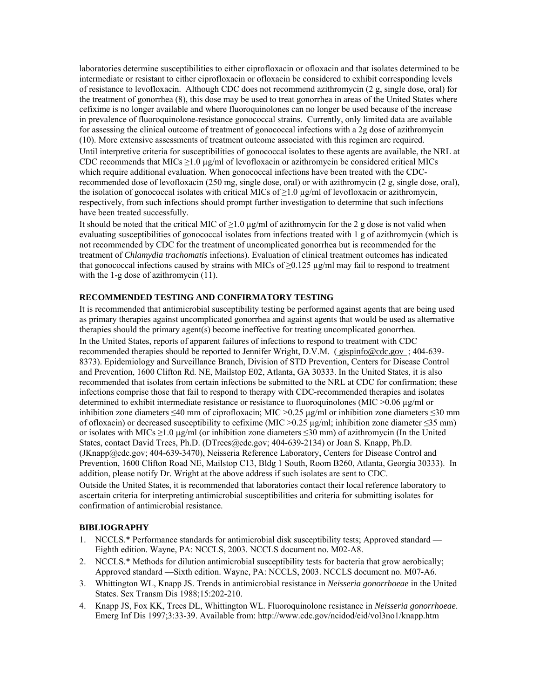laboratories determine susceptibilities to either ciprofloxacin or ofloxacin and that isolates determined to be intermediate or resistant to either ciprofloxacin or ofloxacin be considered to exhibit corresponding levels of resistance to levofloxacin. Although CDC does not recommend azithromycin (2 g, single dose, oral) for the treatment of gonorrhea (8), this dose may be used to treat gonorrhea in areas of the United States where cefixime is no longer available and where fluoroquinolones can no longer be used because of the increase in prevalence of fluoroquinolone-resistance gonococcal strains. Currently, only limited data are available for assessing the clinical outcome of treatment of gonococcal infections with a 2g dose of azithromycin (10). More extensive assessments of treatment outcome associated with this regimen are required. Until interpretive criteria for susceptibilities of gonococcal isolates to these agents are available, the NRL at recommended dose of levofloxacin (250 mg, single dose, oral) or with azithromycin (2 g, single dose, oral), CDC recommends that MICs  $\geq$ 1.0 µg/ml of levofloxacin or azithromycin be considered critical MICs which require additional evaluation. When gonococcal infections have been treated with the CDCthe isolation of gonococcal isolates with critical MICs of  $\geq$ 1.0 µg/ml of levofloxacin or azithromycin, respectively, from such infections should prompt further investigation to determine that such infections have been treated successfully.

It should be noted that the critical MIC of  $\geq$ 1.0 µg/ml of azithromycin for the 2 g dose is not valid when evaluating susceptibilities of gonococcal isolates from infections treated with 1 g of azithromycin (which is treatment of *Chlamydia trachomatis* infections). Evaluation of clinical treatment outcomes has indicated not recommended by CDC for the treatment of uncomplicated gonorrhea but is recommended for the that gonococcal infections caused by strains with MICs of  $\geq 0.125$  µg/ml may fail to respond to treatment with the 1-g dose of azithromycin  $(11)$ .

### **ECOMMENDED TESTING AND CONFIRMATORY TESTING R**

It is recommended that antimicrobial susceptibility testing be performed against agents that are being used as primary therapies against uncomplicated gonorrhea and against agents that would be used as alternative therapies should the primary agent(s) become ineffective for treating uncomplicated gonorrhea.

In the United States, reports of apparent failures of infections to respond to treatment with CDC recommended therapies should be reported to Jennifer Wright, D.V.M. ([gispinfo@cdc.gov](mailto:gispinfo@cdc.gov) ; 404-639-8373). Epidemiology and Surveillance Branch, Division of STD Prevention, Centers for Disease Contro l and Prevention, 1600 Clifton Rd. NE, Mailstop E02, Atlanta, GA 30333. In the United States, it is also recommended that isolates from certain infections be submitted to the NRL at CDC for confirmation; the se infections comprise those that fail to respond to therapy with CDC-recommended therapies and isolates determined to exhibit intermediate resistance or resistance to fluoroquinolones (MIC >0.06 µg/ml or inhibition zone diameters ≤40 mm of ciprofloxacin; MIC >0.25 µg/ml or inhibition zone diameters ≤3 0 mm of ofloxacin) or decreased susceptibility to cefixime (MIC > 0.25 µg/ml; inhibition zone diameter  $\leq$ 35 mm) or isolates with MICs  $\geq$ 1.0 µg/ml (or inhibition zone diameters  $\leq$ 30 mm) of azithromycin (In the United States, contact David Trees, Ph.D. (DTrees@cdc.gov; 404-639-2134) or Joan S. Knapp, Ph.D. (JKnapp@cdc.gov; 404-639-3470), Neisseria Reference Laboratory, Centers for Disease Contro l and Prevention, 1600 Clifton Road NE, Mailstop C13, Bldg 1 South, Room B260, Atlanta, Georgia 30333) . In addition, please notify Dr. Wright at the above address if such isolates are sent to CDC.

Outside the United States, it is recommended that laboratories contact their local referenc e laboratory to ascertain criteria for interpreting antimicrobial susceptibilities and criteria for submitting isolates for confirmation of antimicrobial resistance.

#### **IBLIOGRAPHY B**

- 1. NCCLS.\* Performance standards for antimicrobial disk susceptibility tests; Approved standard Eighth edition. Wayne, PA: NCCLS, 2003. NCCLS document no. M02-A8.
- 2. NCCLS.<sup>\*</sup> Methods for dilution antimicrobial susceptibility tests for bacteria that grow aerobically; Approved standard —Sixth edition. Wayne, PA: NCCLS, 2003. NCCLS document no. M07-A6.
- 3. Whittington WL, Knapp JS. Trends in antimicrobial resistance in *Neisseria gonorrhoeae* in the United States. Sex Transm Dis 1988;15:202-210.
- 4. Knapp JS, Fox KK, Trees DL, Whittington WL. Fluoroquinolone resistance in *Neisseria gonorrhoeae*. Emerg Inf Dis 1997;3:33-39. Available from: <http://www.cdc.gov/ncidod/eid/vol3no1/knapp.htm>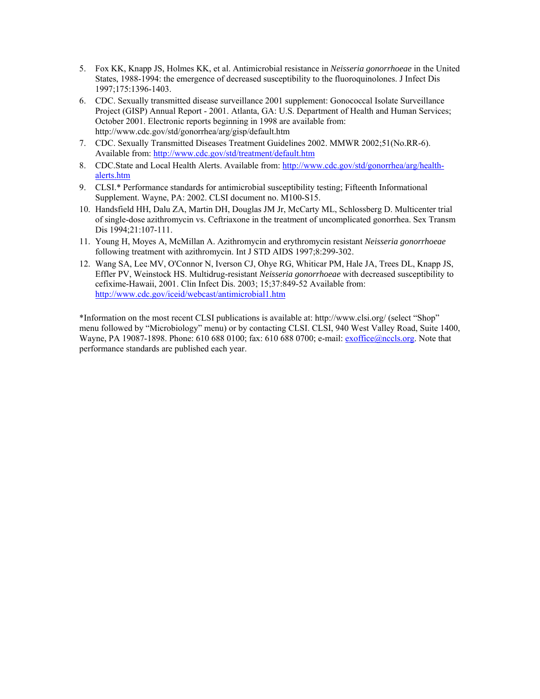- 5. Fox KK, Knapp JS, Holmes KK, et al. Antimicrobial resistance in *Neisseria gonorrhoeae* in the United States, 1988-1994: the emergence of decreased susceptibility to the fluoroquinolones. J Infect Dis 1997;175:1396-1403.
- 6. CDC. Sexually transmitted disease surveillance 2001 supplement: Gonococcal Isolate Surveillance Project (GISP) Annual Report - 2001. Atlanta, GA: U.S. Department of Health and Human Services; October 2001. Electronic reports beginning in 1998 are available from: http://www.cdc.gov/std/gonorrhea/arg/gisp/default.htm
- 7. CDC. Sexually Transmitted Diseases Treatment Guidelines 2002. MMWR 2002;51(No.RR-6). Available from:<http://www.cdc.gov/std/treatment/default.htm>
- 8. CDC.State and Local Health Alerts. Available from: [http://www.cdc.gov/std/gonorrhea/arg/health](http://www.cdc.gov/std/gonorrhea/arg/health-alerts.htm)[alerts.htm](http://www.cdc.gov/std/gonorrhea/arg/health-alerts.htm)
- 9. CLSI.\* Performance standards for antimicrobial susceptibility testing; Fifteenth Informational Supplement. Wayne, PA: 2002. CLSI document no. M100-S15.
- 10. Handsfield HH, Dalu ZA, Martin DH, Douglas JM Jr, McCarty ML, Schlossberg D. Multicenter trial of single-dose azithromycin vs. Ceftriaxone in the treatment of uncomplicated gonorrhea. Sex Transm Dis 1994;21:107-111.
- 11. Young H, Moyes A, McMillan A. Azithromycin and erythromycin resistant *Neisseria gonorrhoeae* following treatment with azithromycin. Int J STD AIDS 1997;8:299-302.
- 12. Wang SA, Lee MV, O'Connor N, Iverson CJ, Ohye RG, Whiticar PM, Hale JA, Trees DL, Knapp JS, Effler PV, Weinstock HS. Multidrug-resistant *Neisseria gonorrhoeae* with decreased susceptibility to cefixime-Hawaii, 2001. Clin Infect Dis. 2003; 15;37:849-52 Available from: <http://www.cdc.gov/iceid/webcast/antimicrobial1.htm>

\*Information on the most recent CLSI publications is available at: http://www.clsi.org/ (select "Shop" menu followed by "Microbiology" menu) or by contacting CLSI. CLSI, 940 West Valley Road, Suite 1400, Wayne, PA 19087-1898. Phone: 610 688 0100; fax: 610 688 0700; e-mail: [exoffice@nccls.org.](mailto:exoffice@nccls.org) Note that performance standards are published each year.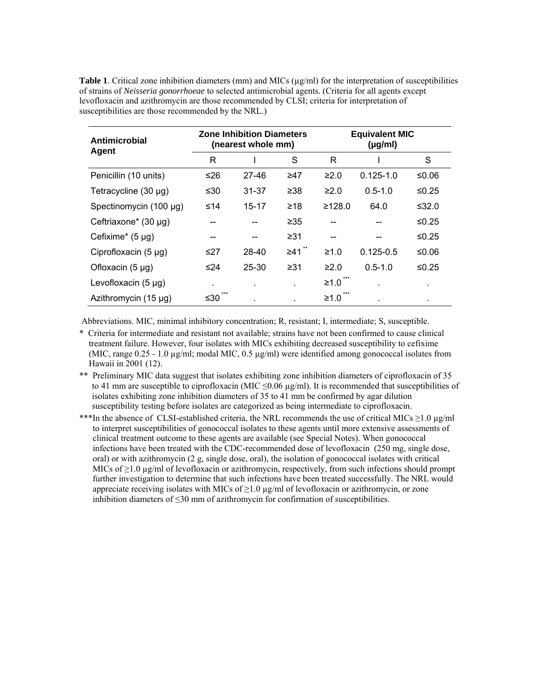**Table 1**. Critical zone inhibition diameters (mm) and MICs ( $\mu$ g/ml) for the interpretation of susceptibilities of strains of *Neisseria gonorrhoeae* to selected antimicrobial agents. (Criteria for all agents except levofloxacin and azithromycin are those recommended by CLSI; criteria for interpretation of susceptibilities are those recommended by the NRL.)

| Antimicrobial<br>Agent    |     | <b>Zone Inhibition Diameters</b><br>(nearest whole mm) |           | <b>Equivalent MIC</b><br>$(\mu g/ml)$ |               |          |  |
|---------------------------|-----|--------------------------------------------------------|-----------|---------------------------------------|---------------|----------|--|
|                           | R   |                                                        | S         | R                                     |               | S        |  |
| Penicillin (10 units)     | ≤26 | $27 - 46$                                              | ≥47       | $\geq 2.0$                            | $0.125 - 1.0$ | ≤0.06    |  |
| Tetracycline $(30 \mu g)$ | ≤30 | 31-37                                                  | $\geq 38$ | $\geq 2.0$                            | $0.5 - 1.0$   | $≤0.25$  |  |
| Spectinomycin (100 µg)    | ≤14 | 15-17                                                  | ≥18       | ≥128.0                                | 64.0          | ≤ $32.0$ |  |
| Ceftriaxone* (30 µg)      |     |                                                        | $\geq 35$ |                                       |               | ≤0.25    |  |
| Cefixime* $(5 \mu g)$     |     | --                                                     | ≥31       | --                                    |               | ≤0.25    |  |
| Ciprofloxacin $(5 \mu g)$ | ≤27 | 28-40                                                  | $\geq 41$ | $\geq 1.0$                            | $0.125 - 0.5$ | ≤0.06    |  |
| Ofloxacin $(5 \mu g)$     | ≤24 | 25-30                                                  | $\geq 31$ | $\geq 2.0$                            | $0.5 - 1.0$   | ≤0.25    |  |
| Levofloxacin $(5 \mu g)$  | ٠.  | $\blacksquare$                                         |           | ***<br>$\geq 1.0$                     |               |          |  |
| Azithromycin $(15 \mu g)$ | ≤30 |                                                        |           | $≥1.0$                                |               | ٠        |  |

Abbreviations. MIC, minimal inhibitory concentration; R, resistant; I, intermediate; S, susceptible.

- \* Criteria for intermediate and resistant not available; strains have not been confirmed to cause clinical treatment failure. However, four isolates with MICs exhibiting decreased susceptibility to cefixime (MIC, range  $0.25 - 1.0 \mu g/ml$ ; modal MIC,  $0.5 \mu g/ml$ ) were identified among gonococcal isolates from Hawaii in 2001 (12).
- \*\* Preliminary MIC data suggest that isolates exhibiting zone inhibition diameters of ciprofloxacin of 35 to 41 mm are susceptible to ciprofloxacin (MIC  $\leq 0.06 \mu g/ml$ ). It is recommended that susceptibilities of isolates exhibiting zone inhibition diameters of 35 to 41 mm be confirmed by agar dilution susceptibility testing before isolates are categorized as being intermediate to ciprofloxacin.
- \*\*\*In the absence of CLSI-established criteria, the NRL recommends the use of critical MICs ≥1.0 µg/ml to interpret susceptibilities of gonococcal isolates to these agents until more extensive assessments of clinical treatment outcome to these agents are available (see Special Notes). When gonococcal infections have been treated with the CDC-recommended dose of levofloxacin (250 mg, single dose, oral) or with azithromycin (2 g, single dose, oral), the isolation of gonococcal isolates with critical MICs of  $\geq$ 1.0 µg/ml of levofloxacin or azithromycin, respectively, from such infections should prompt further investigation to determine that such infections have been treated successfully. The NRL would appreciate receiving isolates with MICs of  $\geq$ 1.0  $\mu$ g/ml of levofloxacin or azithromycin, or zone inhibition diameters of ≤30 mm of azithromycin for confirmation of susceptibilities.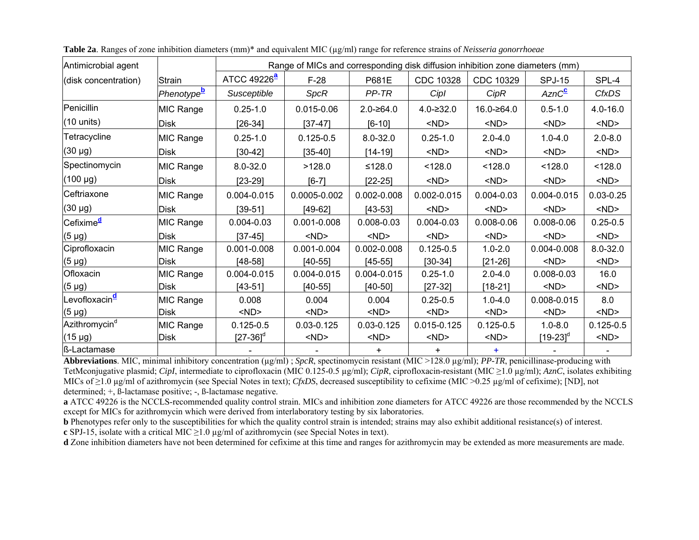| Antimicrobial agent                |               | Range of MICs and corresponding disk diffusion inhibition zone diameters (mm) |                                   |                         |                 |                |                    |               |  |
|------------------------------------|---------------|-------------------------------------------------------------------------------|-----------------------------------|-------------------------|-----------------|----------------|--------------------|---------------|--|
| (disk concentration)               | <b>Strain</b> |                                                                               | ATCC 49226 <sup>ª</sup><br>$F-28$ |                         | CDC 10328       | CDC 10329      | <b>SPJ-15</b>      | SPL-4         |  |
|                                    | Phenotypeb    | Susceptible                                                                   | SpcR                              | PP-TR                   | Cipl            | CipR           | AznC <sup>C</sup>  | <b>CfxDS</b>  |  |
| Penicillin                         | MIC Range     | $0.25 - 1.0$                                                                  | $0.015 - 0.06$                    | $2.0 - 264.0$           | $4.0 - 232.0$   | 16.0-≥64.0     | $0.5 - 1.0$        | $4.0 - 16.0$  |  |
| $(10 \text{ units})$               | <b>Disk</b>   | $[26-34]$                                                                     | $[37-47]$                         | $[6 - 10]$              | $<$ ND $>$      | $<$ ND $>$     | $<$ ND $>$         | $<$ ND $>$    |  |
| Tetracycline                       | MIC Range     | $0.25 - 1.0$                                                                  | $0.125 - 0.5$                     | $8.0 - 32.0$            | $0.25 - 1.0$    | $2.0 - 4.0$    | $1.0 - 4.0$        | $2.0 - 8.0$   |  |
| $(30 \mu g)$                       | Disk          | $[30-42]$                                                                     | $[35-40]$                         | $<$ ND $>$<br>$[14-19]$ |                 | $<$ ND $>$     | $<$ ND $>$         | $<$ ND $>$    |  |
| Spectinomycin                      | MIC Range     | $8.0 - 32.0$                                                                  | >128.0                            | ≤128.0                  | < 128.0         | < 128.0        | < 128.0            | < 128.0       |  |
| (100 µg)                           | Disk          | $[23-29]$                                                                     | $[6-7]$                           | $[22-25]$               | $<$ ND $>$      | $<$ ND $>$     | $<$ ND $>$         | $<$ ND $>$    |  |
| Ceftriaxone                        | MIC Range     | 0.004-0.015                                                                   | 0.0005-0.002                      | $0.002 - 0.008$         | $0.002 - 0.015$ | $0.004 - 0.03$ | 0.004-0.015        | $0.03 - 0.25$ |  |
| $(30 \mu g)$                       | <b>Disk</b>   | $[39 - 51]$                                                                   | $[49-62]$                         | $[43 - 53]$             | $<$ ND $>$      | $<$ ND $>$     | $<$ ND $>$         | $<$ ND $>$    |  |
| <sup>I</sup> Cefixime <sup>d</sup> | MIC Range     | $0.004 - 0.03$                                                                | $0.001 - 0.008$                   | $0.008 - 0.03$          | $0.004 - 0.03$  | $0.008 - 0.06$ | $0.008 - 0.06$     | $0.25 - 0.5$  |  |
| $(5 \mu g)$                        | Disk          | $[37-45]$                                                                     | $<$ ND $>$                        | $<$ ND $>$              | $<$ ND $>$      | $<$ ND $>$     | $<$ ND $>$         | $<$ ND $>$    |  |
| Ciprofloxacin                      | MIC Range     | 0.001-0.008                                                                   | 0.001-0.004                       | $0.002 - 0.008$         | $0.125 - 0.5$   | $1.0 - 2.0$    | 0.004-0.008        | $8.0 - 32.0$  |  |
| $(5 \mu g)$                        | <b>Disk</b>   | $[48-58]$                                                                     | $[40-55]$                         | $[45 - 55]$             | $[30-34]$       | $[21-26]$      | $<$ ND $>$         | $<$ ND $>$    |  |
| Ofloxacin                          | MIC Range     | 0.004-0.015                                                                   | 0.004-0.015                       | 0.004-0.015             | $0.25 - 1.0$    | $2.0 - 4.0$    | $0.008 - 0.03$     | 16.0          |  |
| $(5 \mu g)$                        | Disk          | $[43-51]$                                                                     | $[40-55]$                         | $[40-50]$               | $[27-32]$       | $[18 - 21]$    | $<$ ND $>$         | $<$ ND $>$    |  |
| '∟evofloxacin <sup><u>d</u></sup>  | MIC Range     | 0.008                                                                         | 0.004                             | 0.004                   | $0.25 - 0.5$    | $1.0 - 4.0$    | 0.008-0.015        | 8.0           |  |
| $(5 \mu g)$                        | Disk          | $<$ ND $>$                                                                    | $<$ ND $>$                        | $<$ ND $>$              | $<$ ND $>$      | $<$ ND $>$     | $<$ ND $>$         | $<$ ND $>$    |  |
| Azithromycin <sup>d</sup>          | MIC Range     | $0.125 - 0.5$                                                                 | $0.03 - 0.125$                    | $0.03 - 0.125$          | $0.015 - 0.125$ | $0.125 - 0.5$  | $1.0 - 8.0$        | $0.125 - 0.5$ |  |
| $(15 \mu g)$                       | <b>Disk</b>   | $[27-36]^d$                                                                   | $<$ ND $>$                        | $<$ ND $>$              | $<$ ND $>$      | $<$ ND $>$     | [19-23] $^{\circ}$ | $<$ ND $>$    |  |
| ß-Lactamase                        |               |                                                                               |                                   |                         | $\ddot{}$       |                |                    |               |  |

<span id="page-8-0"></span>

| Table 2a. Ranges of zone inhibition diameters (mm)* and equivalent MIC (µg/ml) range for reference strains of Neisseria gonorrhoeae |  |  |  |  |  |  |
|-------------------------------------------------------------------------------------------------------------------------------------|--|--|--|--|--|--|
|                                                                                                                                     |  |  |  |  |  |  |
|                                                                                                                                     |  |  |  |  |  |  |

**Abbreviations**. MIC, minimal inhibitory concentration (µg/ml) ; *SpcR*, spectinomycin resistant (MIC >128.0 µg/ml); *PP-TR*, penicillinase-producing with TetMconjugative plasmid; *CipI*, intermediate to ciprofloxacin (MIC 0.125-0.5 µg/ml); *CipR*, ciprofloxacin-resistant (MIC ≥1.0 µg/ml); *AznC*, isolates exhibiting MICs of ≥1.0 µg/ml of azithromycin (see Special Notes in text); *CfxDS*, decreased susceptibility to cefixime (MIC >0.25 µg/ml of cefixime); [ND], not determined; +, ß-lactamase positive; -, ß-lactamase negative.

**<sup>a</sup>** ATCC 49226 is the NCCLS-recommended quality control strain. MICs and inhibition zone diameters for ATCC 49226 are those recommended by the NCCLS except for MICs for azithromycin which were derived from interlaboratory testing by six laboratories.

**b** Phenotypes refer only to the susceptibilities for which the quality control strain is intended; strains may also exhibit additional resistance(s) of interest.

**<sup>c</sup>**SPJ-15, isolate with a critical MIC ≥1.0 µg/ml of azithromycin (see Special Notes in text).

**d** Zone inhibition diameters have not been determined for cefixime at this time and ranges for azithromycin may be extended as more measurements are made.